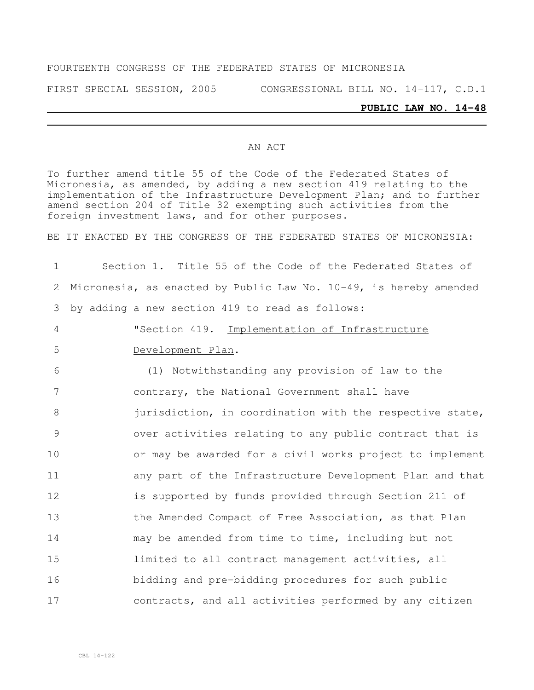#### FOURTEENTH CONGRESS OF THE FEDERATED STATES OF MICRONESIA

FIRST SPECIAL SESSION, 2005 CONGRESSIONAL BILL NO. 14-117, C.D.1

#### **PUBLIC LAW NO. 14-48**

#### AN ACT

To further amend title 55 of the Code of the Federated States of Micronesia, as amended, by adding a new section 419 relating to the implementation of the Infrastructure Development Plan; and to further amend section 204 of Title 32 exempting such activities from the foreign investment laws, and for other purposes.

BE IT ENACTED BY THE CONGRESS OF THE FEDERATED STATES OF MICRONESIA:

 Section 1. Title 55 of the Code of the Federated States of Micronesia, as enacted by Public Law No. 10-49, is hereby amended by adding a new section 419 to read as follows: "Section 419. Implementation of Infrastructure Development Plan. (1) Notwithstanding any provision of law to the contrary, the National Government shall have 8 jurisdiction, in coordination with the respective state, over activities relating to any public contract that is or may be awarded for a civil works project to implement any part of the Infrastructure Development Plan and that is supported by funds provided through Section 211 of 13 the Amended Compact of Free Association, as that Plan may be amended from time to time, including but not limited to all contract management activities, all bidding and pre-bidding procedures for such public contracts, and all activities performed by any citizen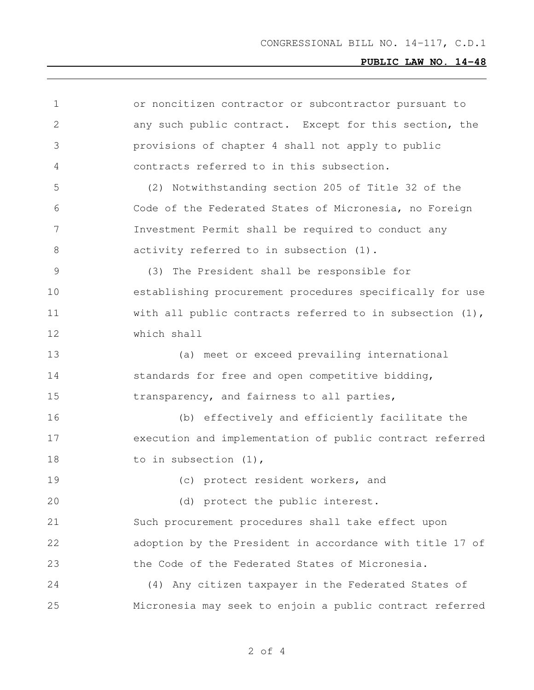| 1  | or noncitizen contractor or subcontractor pursuant to       |
|----|-------------------------------------------------------------|
| 2  | any such public contract. Except for this section, the      |
| 3  | provisions of chapter 4 shall not apply to public           |
| 4  | contracts referred to in this subsection.                   |
| 5  | (2) Notwithstanding section 205 of Title 32 of the          |
| 6  | Code of the Federated States of Micronesia, no Foreign      |
| 7  | Investment Permit shall be required to conduct any          |
| 8  | activity referred to in subsection (1).                     |
| 9  | (3) The President shall be responsible for                  |
| 10 | establishing procurement procedures specifically for use    |
| 11 | with all public contracts referred to in subsection $(1)$ , |
| 12 | which shall                                                 |
| 13 | (a) meet or exceed prevailing international                 |
| 14 | standards for free and open competitive bidding,            |
| 15 | transparency, and fairness to all parties,                  |
| 16 | (b) effectively and efficiently facilitate the              |
| 17 | execution and implementation of public contract referred    |
| 18 | to in subsection $(1)$ ,                                    |
| 19 | (c) protect resident workers, and                           |
| 20 | (d) protect the public interest.                            |
| 21 | Such procurement procedures shall take effect upon          |
| 22 | adoption by the President in accordance with title 17 of    |
| 23 | the Code of the Federated States of Micronesia.             |
| 24 | (4) Any citizen taxpayer in the Federated States of         |
| 25 | Micronesia may seek to enjoin a public contract referred    |
|    |                                                             |

of 4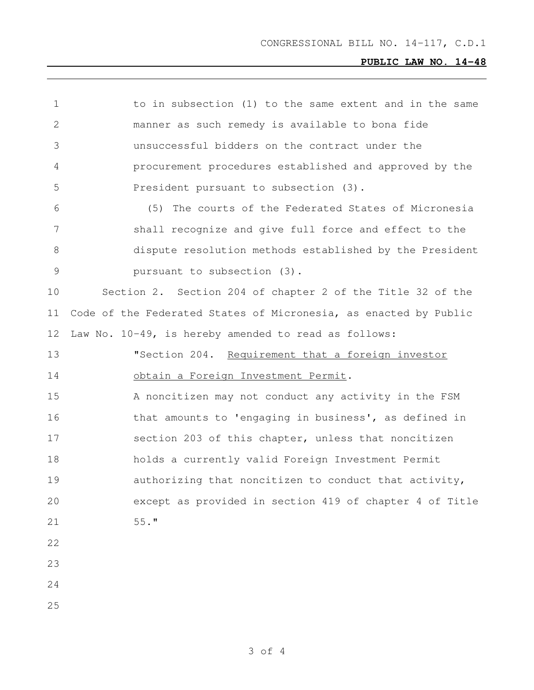| 1             | to in subsection (1) to the same extent and in the same          |
|---------------|------------------------------------------------------------------|
| $\mathbf{2}$  | manner as such remedy is available to bona fide                  |
| 3             | unsuccessful bidders on the contract under the                   |
| 4             | procurement procedures established and approved by the           |
| 5             | President pursuant to subsection (3).                            |
| 6             | (5)<br>The courts of the Federated States of Micronesia          |
| 7             | shall recognize and give full force and effect to the            |
| 8             | dispute resolution methods established by the President          |
| $\mathcal{G}$ | pursuant to subsection (3).                                      |
| 10            | Section 2. Section 204 of chapter 2 of the Title 32 of the       |
| 11            | Code of the Federated States of Micronesia, as enacted by Public |
| 12            | Law No. 10-49, is hereby amended to read as follows:             |
| 13            | "Section 204. Requirement that a foreign investor                |
| 14            | obtain a Foreign Investment Permit.                              |
|               | A noncitizen may not conduct any activity in the FSM             |
| 15            |                                                                  |
| 16            | that amounts to 'engaging in business', as defined in            |
| 17            | section 203 of this chapter, unless that noncitizen              |
| 18            | holds a currently valid Foreign Investment Permit                |
| 19            | authorizing that noncitizen to conduct that activity,            |
| 20            | except as provided in section 419 of chapter 4 of Title          |
| 21            | $55.$ "                                                          |
| 22            |                                                                  |
| 23            |                                                                  |
| 24            |                                                                  |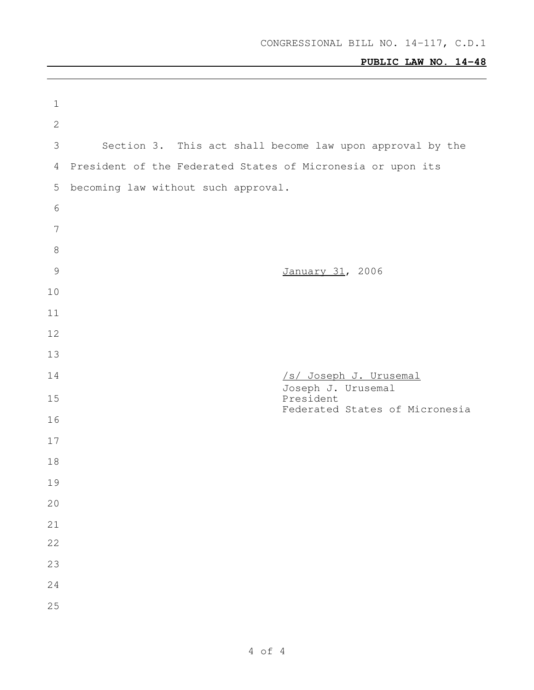| $\mathbf 1$    |                                                             |
|----------------|-------------------------------------------------------------|
| $\sqrt{2}$     |                                                             |
| 3              | Section 3. This act shall become law upon approval by the   |
| 4              | President of the Federated States of Micronesia or upon its |
| 5              | becoming law without such approval.                         |
| $\epsilon$     |                                                             |
| $\overline{7}$ |                                                             |
| $\,8\,$        |                                                             |
| $\mathcal{G}$  | January 31, 2006                                            |
| 10             |                                                             |
| 11             |                                                             |
| 12             |                                                             |
| 13             |                                                             |
| 14             | /s/ Joseph J. Urusemal<br>Joseph J. Urusemal                |
| 15             | President<br>Federated States of Micronesia                 |
| 16             |                                                             |
| 17             |                                                             |
| 18             |                                                             |
| 19             |                                                             |
| 20             |                                                             |
| 21             |                                                             |
| 22             |                                                             |
| 23             |                                                             |
| 24             |                                                             |
| 25             |                                                             |